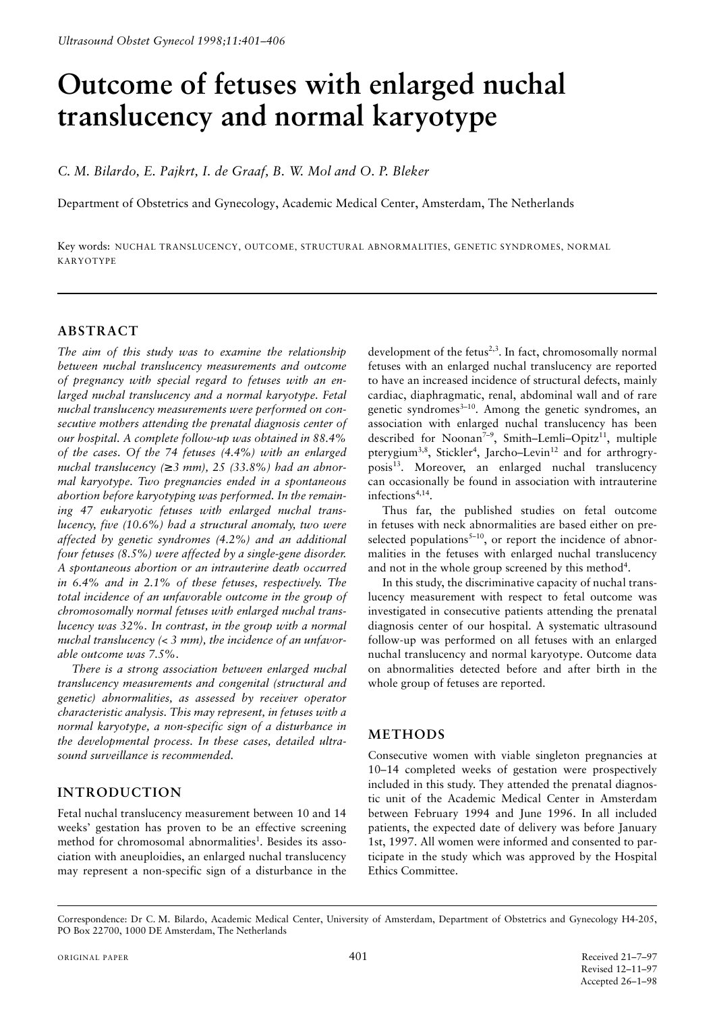# **Outcome of fetuses with enlarged nuchal translucency and normal karyotype**

*C. M. Bilardo, E. Pajkrt, I. de Graaf, B. W. Mol and O. P. Bleker*

Department of Obstetrics and Gynecology, Academic Medical Center, Amsterdam, The Netherlands

Key words: NUCHAL TRANSLUCENCY, OUTCOME, STRUCTURAL ABNORMALITIES, GENETIC SYNDROMES, NORMAL KARYOTYPE

## **ABSTRACT**

*The aim of this study was to examine the relationship between nuchal translucency measurements and outcome of pregnancy with special regard to fetuses with an enlarged nuchal translucency and a normal karyotype. Fetal nuchal translucency measurements were performed on consecutive mothers attending the prenatal diagnosis center of our hospital. A complete follow-up was obtained in 88.4% of the cases. Of the 74 fetuses (4.4%) with an enlarged nuchal translucency (*≥ *3 mm), 25 (33.8%) had an abnormal karyotype. Two pregnancies ended in a spontaneous abortion before karyotyping was performed. In the remaining 47 eukaryotic fetuses with enlarged nuchal translucency, five (10.6%) had a structural anomaly, two were affected by genetic syndromes (4.2%) and an additional four fetuses (8.5%) were affected by a single-gene disorder. A spontaneous abortion or an intrauterine death occurred in 6.4% and in 2.1% of these fetuses, respectively. The total incidence of an unfavorable outcome in the group of chromosomally normal fetuses with enlarged nuchal translucency was 32%. In contrast, in the group with a normal nuchal translucency (< 3 mm), the incidence of an unfavorable outcome was 7.5%.*

*There is a strong association between enlarged nuchal translucency measurements and congenital (structural and genetic) abnormalities, as assessed by receiver operator characteristic analysis. This may represent, in fetuses with a normal karyotype, a non-specific sign of a disturbance in the developmental process. In these cases, detailed ultrasound surveillance is recommended.*

# **INTRODUCTION**

Fetal nuchal translucency measurement between 10 and 14 weeks' gestation has proven to be an effective screening method for chromosomal abnormalities<sup>1</sup>. Besides its association with aneuploidies, an enlarged nuchal translucency may represent a non-specific sign of a disturbance in the

development of the fetus<sup>2,3</sup>. In fact, chromosomally normal fetuses with an enlarged nuchal translucency are reported to have an increased incidence of structural defects, mainly cardiac, diaphragmatic, renal, abdominal wall and of rare genetic syndromes<sup>3-10</sup>. Among the genetic syndromes, an association with enlarged nuchal translucency has been described for Noonan<sup>7-9</sup>, Smith-Lemli-Opitz<sup>11</sup>, multiple pterygium<sup>3,8</sup>, Stickler<sup>4</sup>, Jarcho–Levin<sup>12</sup> and for arthrogryposis<sup>13</sup>. Moreover, an enlarged nuchal translucency can occasionally be found in association with intrauterine infections<sup>4,14</sup>.

Thus far, the published studies on fetal outcome in fetuses with neck abnormalities are based either on preselected populations<sup>5-10</sup>, or report the incidence of abnormalities in the fetuses with enlarged nuchal translucency and not in the whole group screened by this method<sup>4</sup>.

In this study, the discriminative capacity of nuchal translucency measurement with respect to fetal outcome was investigated in consecutive patients attending the prenatal diagnosis center of our hospital. A systematic ultrasound follow-up was performed on all fetuses with an enlarged nuchal translucency and normal karyotype. Outcome data on abnormalities detected before and after birth in the whole group of fetuses are reported.

# **METHODS**

Consecutive women with viable singleton pregnancies at 10–14 completed weeks of gestation were prospectively included in this study. They attended the prenatal diagnostic unit of the Academic Medical Center in Amsterdam between February 1994 and June 1996. In all included patients, the expected date of delivery was before January 1st, 1997. All women were informed and consented to participate in the study which was approved by the Hospital Ethics Committee.

Correspondence: Dr C. M. Bilardo, Academic Medical Center, University of Amsterdam, Department of Obstetrics and Gynecology H4-205, PO Box 22700, 1000 DE Amsterdam, The Netherlands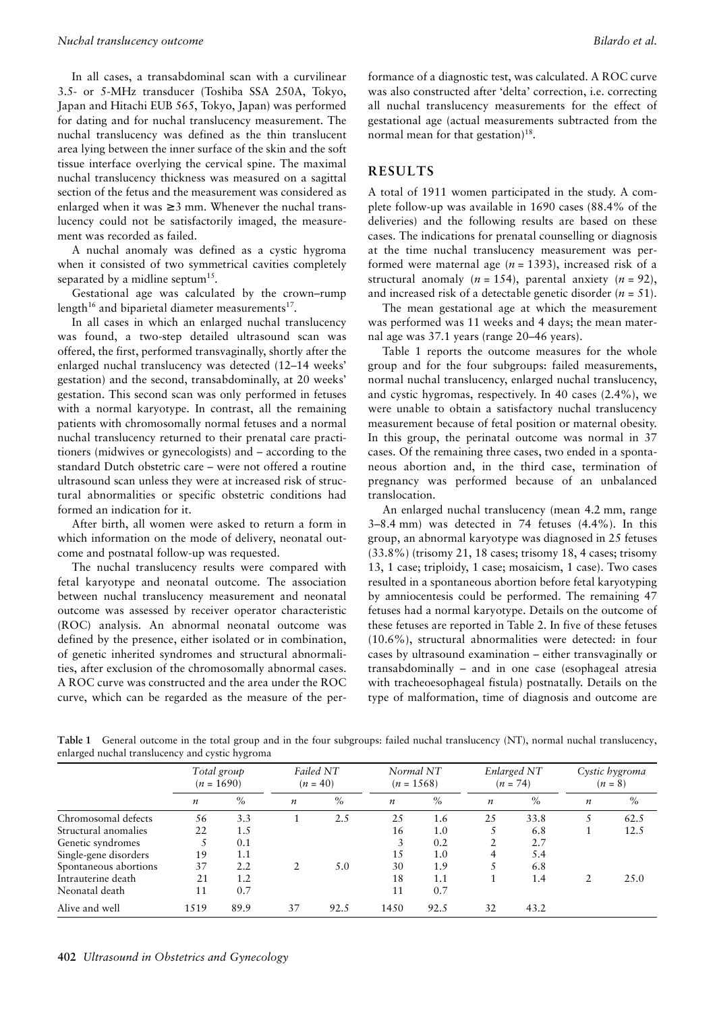In all cases, a transabdominal scan with a curvilinear 3.5- or 5-MHz transducer (Toshiba SSA 250A, Tokyo, Japan and Hitachi EUB 565, Tokyo, Japan) was performed for dating and for nuchal translucency measurement. The nuchal translucency was defined as the thin translucent area lying between the inner surface of the skin and the soft tissue interface overlying the cervical spine. The maximal nuchal translucency thickness was measured on a sagittal section of the fetus and the measurement was considered as enlarged when it was  $\geq 3$  mm. Whenever the nuchal translucency could not be satisfactorily imaged, the measurement was recorded as failed.

A nuchal anomaly was defined as a cystic hygroma when it consisted of two symmetrical cavities completely separated by a midline septum<sup>15</sup>.

Gestational age was calculated by the crown–rump length<sup>16</sup> and biparietal diameter measurements<sup>17</sup>.

In all cases in which an enlarged nuchal translucency was found, a two-step detailed ultrasound scan was offered, the first, performed transvaginally, shortly after the enlarged nuchal translucency was detected (12–14 weeks' gestation) and the second, transabdominally, at 20 weeks' gestation. This second scan was only performed in fetuses with a normal karyotype. In contrast, all the remaining patients with chromosomally normal fetuses and a normal nuchal translucency returned to their prenatal care practitioners (midwives or gynecologists) and – according to the standard Dutch obstetric care – were not offered a routine ultrasound scan unless they were at increased risk of structural abnormalities or specific obstetric conditions had formed an indication for it.

After birth, all women were asked to return a form in which information on the mode of delivery, neonatal outcome and postnatal follow-up was requested.

The nuchal translucency results were compared with fetal karyotype and neonatal outcome. The association between nuchal translucency measurement and neonatal outcome was assessed by receiver operator characteristic (ROC) analysis. An abnormal neonatal outcome was defined by the presence, either isolated or in combination, of genetic inherited syndromes and structural abnormalities, after exclusion of the chromosomally abnormal cases. A ROC curve was constructed and the area under the ROC curve, which can be regarded as the measure of the performance of a diagnostic test, was calculated. A ROC curve was also constructed after 'delta' correction, i.e. correcting all nuchal translucency measurements for the effect of gestational age (actual measurements subtracted from the normal mean for that gestation) $18$ .

### **RESULTS**

A total of 1911 women participated in the study. A complete follow-up was available in 1690 cases (88.4% of the deliveries) and the following results are based on these cases. The indications for prenatal counselling or diagnosis at the time nuchal translucency measurement was performed were maternal age (*n* = 1393), increased risk of a structural anomaly  $(n = 154)$ , parental anxiety  $(n = 92)$ , and increased risk of a detectable genetic disorder (*n* = 51).

The mean gestational age at which the measurement was performed was 11 weeks and 4 days; the mean maternal age was 37.1 years (range 20–46 years).

Table 1 reports the outcome measures for the whole group and for the four subgroups: failed measurements, normal nuchal translucency, enlarged nuchal translucency, and cystic hygromas, respectively. In 40 cases (2.4%), we were unable to obtain a satisfactory nuchal translucency measurement because of fetal position or maternal obesity. In this group, the perinatal outcome was normal in 37 cases. Of the remaining three cases, two ended in a spontaneous abortion and, in the third case, termination of pregnancy was performed because of an unbalanced translocation.

An enlarged nuchal translucency (mean 4.2 mm, range 3–8.4 mm) was detected in 74 fetuses (4.4%). In this group, an abnormal karyotype was diagnosed in 25 fetuses (33.8%) (trisomy 21, 18 cases; trisomy 18, 4 cases; trisomy 13, 1 case; triploidy, 1 case; mosaicism, 1 case). Two cases resulted in a spontaneous abortion before fetal karyotyping by amniocentesis could be performed. The remaining 47 fetuses had a normal karyotype. Details on the outcome of these fetuses are reported in Table 2. In five of these fetuses (10.6%), structural abnormalities were detected: in four cases by ultrasound examination – either transvaginally or transabdominally – and in one case (esophageal atresia with tracheoesophageal fistula) postnatally. Details on the type of malformation, time of diagnosis and outcome are

**Table 1** General outcome in the total group and in the four subgroups: failed nuchal translucency (NT), normal nuchal translucency, enlarged nuchal translucency and cystic hygroma

|                       | $(n = 1690)$     | Total group |                  | Failed NT<br>$(n = 40)$ | Normal NT<br>$(n = 1568)$ |      | Enlarged NT<br>$(n = 74)$ |      | Cystic hygroma<br>$(n = 8)$ |      |
|-----------------------|------------------|-------------|------------------|-------------------------|---------------------------|------|---------------------------|------|-----------------------------|------|
|                       | $\boldsymbol{n}$ | $\%$        | $\boldsymbol{n}$ | $\%$                    | $\boldsymbol{n}$          | $\%$ | $\boldsymbol{n}$          | $\%$ | $\boldsymbol{n}$            | $\%$ |
| Chromosomal defects   | 56               | 3.3         |                  | 2.5                     | 25                        | 1.6  | 25                        | 33.8 |                             | 62.5 |
| Structural anomalies  | 22               | 1.5         |                  |                         | 16                        | 1.0  |                           | 6.8  |                             | 12.5 |
| Genetic syndromes     |                  | 0.1         |                  |                         |                           | 0.2  | 2                         | 2.7  |                             |      |
| Single-gene disorders | 19               | 1.1         |                  |                         | 15                        | 1.0  | 4                         | 5.4  |                             |      |
| Spontaneous abortions | 37               | 2.2         |                  | 5.0                     | 30                        | 1.9  |                           | 6.8  |                             |      |
| Intrauterine death    | 21               | 1.2         |                  |                         | 18                        | 1.1  |                           | 1.4  |                             | 25.0 |
| Neonatal death        | 11               | 0.7         |                  |                         | 11                        | 0.7  |                           |      |                             |      |
| Alive and well        | 1519             | 89.9        | 37               | 92.5                    | 1450                      | 92.5 | 32                        | 43.2 |                             |      |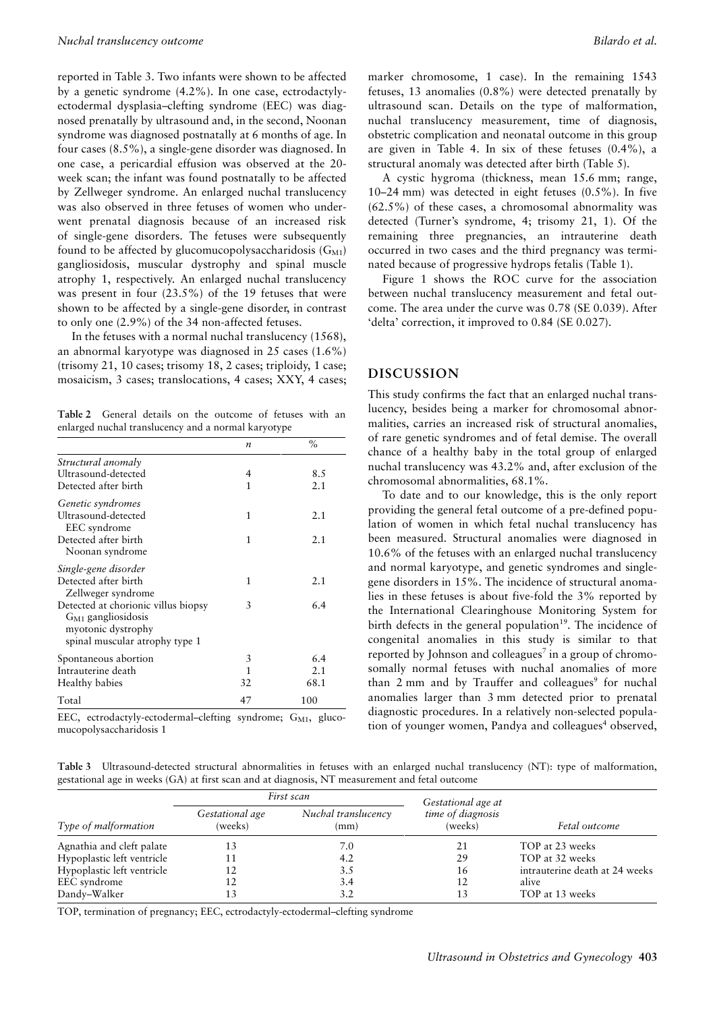reported in Table 3. Two infants were shown to be affected by a genetic syndrome (4.2%). In one case, ectrodactylyectodermal dysplasia–clefting syndrome (EEC) was diagnosed prenatally by ultrasound and, in the second, Noonan syndrome was diagnosed postnatally at 6 months of age. In four cases (8.5%), a single-gene disorder was diagnosed. In one case, a pericardial effusion was observed at the 20 week scan; the infant was found postnatally to be affected by Zellweger syndrome. An enlarged nuchal translucency was also observed in three fetuses of women who underwent prenatal diagnosis because of an increased risk of single-gene disorders. The fetuses were subsequently found to be affected by glucomucopolysaccharidosis  $(G_{M1})$ gangliosidosis, muscular dystrophy and spinal muscle atrophy 1, respectively. An enlarged nuchal translucency was present in four (23.5%) of the 19 fetuses that were shown to be affected by a single-gene disorder, in contrast to only one (2.9%) of the 34 non-affected fetuses.

In the fetuses with a normal nuchal translucency (1568), an abnormal karyotype was diagnosed in 25 cases (1.6%) (trisomy 21, 10 cases; trisomy 18, 2 cases; triploidy, 1 case; mosaicism, 3 cases; translocations, 4 cases; XXY, 4 cases;

**Table 2** General details on the outcome of fetuses with an enlarged nuchal translucency and a normal karyotype

|                                     | $\boldsymbol{n}$ | $\%$ |
|-------------------------------------|------------------|------|
| Structural anomaly                  |                  |      |
| Ultrasound-detected                 | 4                | 8.5  |
| Detected after birth                | 1                | 2.1  |
| Genetic syndromes                   |                  |      |
| Ultrasound-detected                 | 1                | 2.1  |
| EEC syndrome                        |                  |      |
| Detected after birth                | 1                | 2.1  |
| Noonan syndrome                     |                  |      |
| Single-gene disorder                |                  |      |
| Detected after birth                | 1                | 2.1  |
| Zellweger syndrome                  |                  |      |
| Detected at chorionic villus biopsy | 3                | 6.4  |
| $G_{M1}$ gangliosidosis             |                  |      |
| myotonic dystrophy                  |                  |      |
| spinal muscular atrophy type 1      |                  |      |
| Spontaneous abortion                | 3                | 6.4  |
| Intrauterine death                  | 1                | 2.1  |
| Healthy babies                      | 32               | 68.1 |
| Total                               | 47               | 100  |

EEC, ectrodactyly-ectodermal-clefting syndrome;  $G_{M1}$ , glucomucopolysaccharidosis 1

marker chromosome, 1 case). In the remaining 1543 fetuses, 13 anomalies (0.8%) were detected prenatally by ultrasound scan. Details on the type of malformation, nuchal translucency measurement, time of diagnosis, obstetric complication and neonatal outcome in this group are given in Table 4. In six of these fetuses (0.4%), a structural anomaly was detected after birth (Table 5).

A cystic hygroma (thickness, mean 15.6 mm; range, 10–24 mm) was detected in eight fetuses (0.5%). In five (62.5%) of these cases, a chromosomal abnormality was detected (Turner's syndrome, 4; trisomy 21, 1). Of the remaining three pregnancies, an intrauterine death occurred in two cases and the third pregnancy was terminated because of progressive hydrops fetalis (Table 1).

Figure 1 shows the ROC curve for the association between nuchal translucency measurement and fetal outcome. The area under the curve was 0.78 (SE 0.039). After 'delta' correction, it improved to 0.84 (SE 0.027).

#### **DISCUSSION**

This study confirms the fact that an enlarged nuchal translucency, besides being a marker for chromosomal abnormalities, carries an increased risk of structural anomalies, of rare genetic syndromes and of fetal demise. The overall chance of a healthy baby in the total group of enlarged nuchal translucency was 43.2% and, after exclusion of the chromosomal abnormalities, 68.1%.

To date and to our knowledge, this is the only report providing the general fetal outcome of a pre-defined population of women in which fetal nuchal translucency has been measured. Structural anomalies were diagnosed in 10.6% of the fetuses with an enlarged nuchal translucency and normal karyotype, and genetic syndromes and singlegene disorders in 15%. The incidence of structural anomalies in these fetuses is about five-fold the 3% reported by the International Clearinghouse Monitoring System for birth defects in the general population<sup>19</sup>. The incidence of congenital anomalies in this study is similar to that reported by Johnson and colleagues<sup>7</sup> in a group of chromosomally normal fetuses with nuchal anomalies of more than  $2 \text{ mm}$  and by Trauffer and colleagues<sup>9</sup> for nuchal anomalies larger than 3 mm detected prior to prenatal diagnostic procedures. In a relatively non-selected population of younger women, Pandya and colleagues<sup>4</sup> observed,

**Table 3** Ultrasound-detected structural abnormalities in fetuses with an enlarged nuchal translucency (NT): type of malformation, gestational age in weeks (GA) at first scan and at diagnosis, NT measurement and fetal outcome

|                            |                            | First scan                  | Gestational age at           |                                |
|----------------------------|----------------------------|-----------------------------|------------------------------|--------------------------------|
| Type of malformation       | Gestational age<br>(weeks) | Nuchal translucency<br>(mm) | time of diagnosis<br>(weeks) | Fetal outcome                  |
| Agnathia and cleft palate  | 13                         | 7.0                         | 21                           | TOP at 23 weeks                |
| Hypoplastic left ventricle | 11                         | 4.2                         | 29                           | TOP at 32 weeks                |
| Hypoplastic left ventricle | 12                         | 3.5                         | 16                           | intrauterine death at 24 weeks |
| EEC syndrome               | 12                         | 3.4                         | 12                           | alive                          |
| Dandy-Walker               |                            | 3.2                         | 13                           | TOP at 13 weeks                |

TOP, termination of pregnancy; EEC, ectrodactyly-ectodermal–clefting syndrome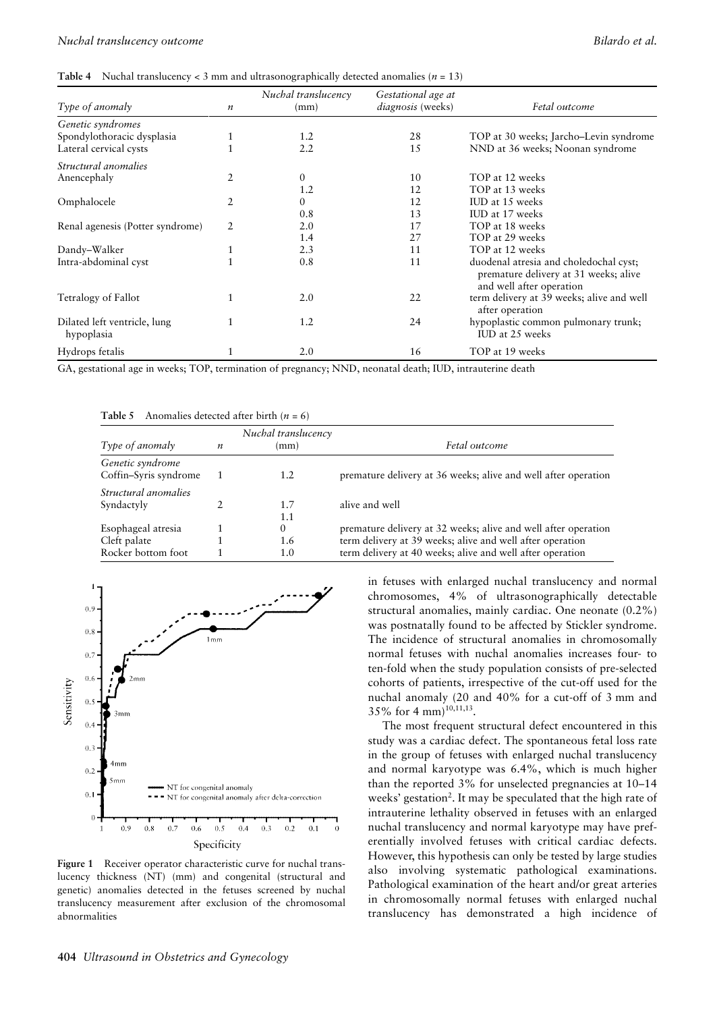|  | Table 4 Nuchal translucency < 3 mm and ultrasonographically detected anomalies ( $n = 13$ ) |  |  |  |  |
|--|---------------------------------------------------------------------------------------------|--|--|--|--|
|--|---------------------------------------------------------------------------------------------|--|--|--|--|

| Type of anomaly                            | $\boldsymbol{n}$ | Nuchal translucency<br>(mm) | Gestational age at<br><i>diagnosis</i> (weeks) | Fetal outcome                                                                                               |
|--------------------------------------------|------------------|-----------------------------|------------------------------------------------|-------------------------------------------------------------------------------------------------------------|
| Genetic syndromes                          |                  |                             |                                                |                                                                                                             |
| Spondylothoracic dysplasia                 |                  | 1.2                         | 28                                             | TOP at 30 weeks; Jarcho-Levin syndrome                                                                      |
| Lateral cervical cysts                     |                  | 2.2                         | 15                                             | NND at 36 weeks; Noonan syndrome                                                                            |
| Structural anomalies                       |                  |                             |                                                |                                                                                                             |
| Anencephaly                                | 2                | $\overline{0}$              | 10                                             | TOP at 12 weeks                                                                                             |
|                                            |                  | 1.2                         | 12                                             | TOP at 13 weeks                                                                                             |
| Omphalocele                                | 2                | $\theta$                    | 12                                             | IUD at 15 weeks                                                                                             |
|                                            |                  | 0.8                         | 13                                             | IUD at 17 weeks                                                                                             |
| Renal agenesis (Potter syndrome)           | 2                | 2.0                         | 17                                             | TOP at 18 weeks                                                                                             |
|                                            |                  | 1.4                         | 27                                             | TOP at 29 weeks                                                                                             |
| Dandy-Walker                               |                  | 2.3                         | 11                                             | TOP at 12 weeks                                                                                             |
| Intra-abdominal cyst                       |                  | 0.8                         | 11                                             | duodenal atresia and choledochal cyst;<br>premature delivery at 31 weeks; alive<br>and well after operation |
| Tetralogy of Fallot                        |                  | 2.0                         | 22                                             | term delivery at 39 weeks; alive and well<br>after operation                                                |
| Dilated left ventricle, lung<br>hypoplasia |                  | 1.2                         | 24                                             | hypoplastic common pulmonary trunk;<br>IUD at 25 weeks                                                      |
| Hydrops fetalis                            |                  | 2.0                         | 16                                             | TOP at 19 weeks                                                                                             |

GA, gestational age in weeks; TOP, termination of pregnancy; NND, neonatal death; IUD, intrauterine death

| Table 5 | Anomalies detected after birth $(n = 6)$ |  |  |  |  |  |
|---------|------------------------------------------|--|--|--|--|--|
|---------|------------------------------------------|--|--|--|--|--|

|                       |                  | Nuchal translucency |                                                                |
|-----------------------|------------------|---------------------|----------------------------------------------------------------|
| Type of anomaly       | $\boldsymbol{n}$ | (mm)                | Fetal outcome                                                  |
| Genetic syndrome      |                  |                     |                                                                |
| Coffin-Syris syndrome |                  | 1.2                 | premature delivery at 36 weeks; alive and well after operation |
| Structural anomalies  |                  |                     |                                                                |
| Syndactyly            |                  | 1.7                 | alive and well                                                 |
|                       |                  | 1.1                 |                                                                |
| Esophageal atresia    |                  | 0                   | premature delivery at 32 weeks; alive and well after operation |
| Cleft palate          |                  | 1.6                 | term delivery at 39 weeks; alive and well after operation      |
| Rocker bottom foot    |                  | $1.0^{\circ}$       | term delivery at 40 weeks; alive and well after operation      |



**Figure 1** Receiver operator characteristic curve for nuchal translucency thickness (NT) (mm) and congenital (structural and genetic) anomalies detected in the fetuses screened by nuchal translucency measurement after exclusion of the chromosomal abnormalities

in fetuses with enlarged nuchal translucency and normal chromosomes, 4% of ultrasonographically detectable structural anomalies, mainly cardiac. One neonate (0.2%) was postnatally found to be affected by Stickler syndrome. The incidence of structural anomalies in chromosomally normal fetuses with nuchal anomalies increases four- to ten-fold when the study population consists of pre-selected cohorts of patients, irrespective of the cut-off used for the nuchal anomaly (20 and 40% for a cut-off of 3 mm and 35% for 4 mm $)^{10,11,13}$ .

The most frequent structural defect encountered in this study was a cardiac defect. The spontaneous fetal loss rate in the group of fetuses with enlarged nuchal translucency and normal karyotype was 6.4%, which is much higher than the reported 3% for unselected pregnancies at 10–14 weeks' gestation<sup>2</sup>. It may be speculated that the high rate of intrauterine lethality observed in fetuses with an enlarged nuchal translucency and normal karyotype may have preferentially involved fetuses with critical cardiac defects. However, this hypothesis can only be tested by large studies also involving systematic pathological examinations. Pathological examination of the heart and/or great arteries in chromosomally normal fetuses with enlarged nuchal translucency has demonstrated a high incidence of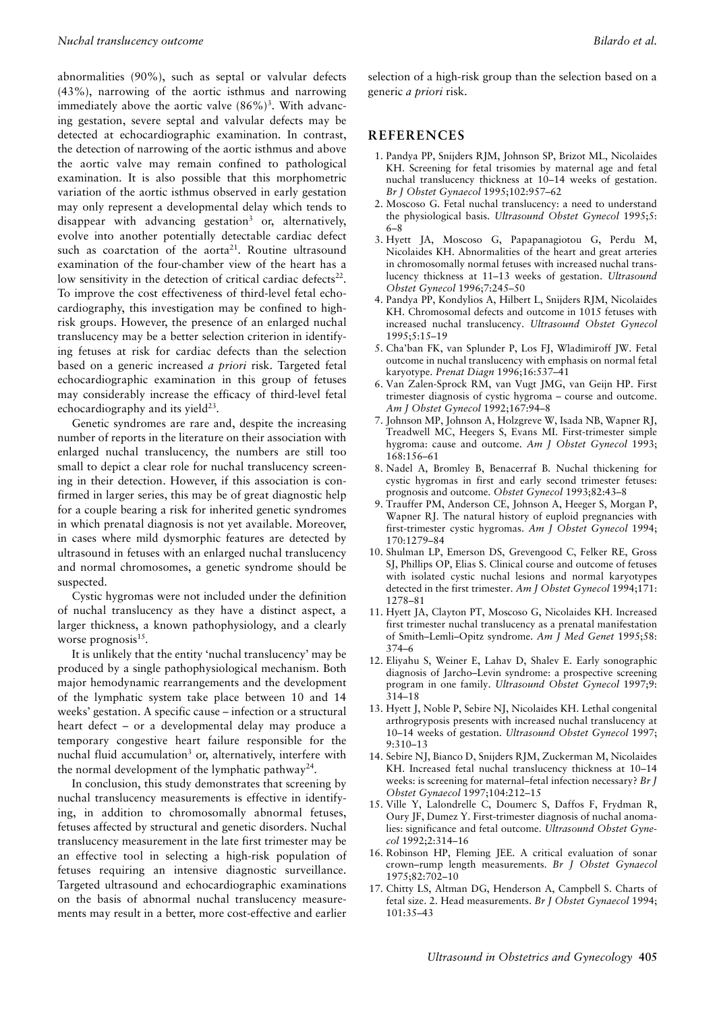abnormalities (90%), such as septal or valvular defects (43%), narrowing of the aortic isthmus and narrowing immediately above the aortic valve  $(86\%)^3$ . With advancing gestation, severe septal and valvular defects may be detected at echocardiographic examination. In contrast, the detection of narrowing of the aortic isthmus and above the aortic valve may remain confined to pathological examination. It is also possible that this morphometric variation of the aortic isthmus observed in early gestation may only represent a developmental delay which tends to disappear with advancing gestation<sup>3</sup> or, alternatively, evolve into another potentially detectable cardiac defect such as coarctation of the aorta<sup>21</sup>. Routine ultrasound examination of the four-chamber view of the heart has a low sensitivity in the detection of critical cardiac defects $22$ . To improve the cost effectiveness of third-level fetal echocardiography, this investigation may be confined to highrisk groups. However, the presence of an enlarged nuchal translucency may be a better selection criterion in identifying fetuses at risk for cardiac defects than the selection based on a generic increased *a priori* risk. Targeted fetal echocardiographic examination in this group of fetuses may considerably increase the efficacy of third-level fetal echocardiography and its yield $^{23}$ .

Genetic syndromes are rare and, despite the increasing number of reports in the literature on their association with enlarged nuchal translucency, the numbers are still too small to depict a clear role for nuchal translucency screening in their detection. However, if this association is confirmed in larger series, this may be of great diagnostic help for a couple bearing a risk for inherited genetic syndromes in which prenatal diagnosis is not yet available. Moreover, in cases where mild dysmorphic features are detected by ultrasound in fetuses with an enlarged nuchal translucency and normal chromosomes, a genetic syndrome should be suspected.

Cystic hygromas were not included under the definition of nuchal translucency as they have a distinct aspect, a larger thickness, a known pathophysiology, and a clearly worse prognosis<sup>15</sup>.

It is unlikely that the entity 'nuchal translucency' may be produced by a single pathophysiological mechanism. Both major hemodynamic rearrangements and the development of the lymphatic system take place between 10 and 14 weeks' gestation. A specific cause – infection or a structural heart defect – or a developmental delay may produce a temporary congestive heart failure responsible for the nuchal fluid accumulation<sup>3</sup> or, alternatively, interfere with the normal development of the lymphatic pathway<sup>24</sup>.

In conclusion, this study demonstrates that screening by nuchal translucency measurements is effective in identifying, in addition to chromosomally abnormal fetuses, fetuses affected by structural and genetic disorders. Nuchal translucency measurement in the late first trimester may be an effective tool in selecting a high-risk population of fetuses requiring an intensive diagnostic surveillance. Targeted ultrasound and echocardiographic examinations on the basis of abnormal nuchal translucency measurements may result in a better, more cost-effective and earlier

selection of a high-risk group than the selection based on a generic *a priori* risk.

#### **REFERENCES**

- 1. Pandya PP, Snijders RJM, Johnson SP, Brizot ML, Nicolaides KH. Screening for fetal trisomies by maternal age and fetal nuchal translucency thickness at 10–14 weeks of gestation. *Br J Obstet Gynaecol* 1995;102:957–62
- 2. Moscoso G. Fetal nuchal translucency: a need to understand the physiological basis. *Ultrasound Obstet Gynecol* 1995;5: 6–8
- 3. Hyett JA, Moscoso G, Papapanagiotou G, Perdu M, Nicolaides KH. Abnormalities of the heart and great arteries in chromosomally normal fetuses with increased nuchal translucency thickness at 11–13 weeks of gestation. *Ultrasound Obstet Gynecol* 1996;7:245–50
- 4. Pandya PP, Kondylios A, Hilbert L, Snijders RJM, Nicolaides KH. Chromosomal defects and outcome in 1015 fetuses with increased nuchal translucency. *Ultrasound Obstet Gynecol* 1995;5:15–19
- 5. Cha'ban FK, van Splunder P, Los FJ, Wladimiroff JW. Fetal outcome in nuchal translucency with emphasis on normal fetal karyotype. *Prenat Diagn* 1996;16:537–41
- 6. Van Zalen-Sprock RM, van Vugt JMG, van Geijn HP. First trimester diagnosis of cystic hygroma – course and outcome. *Am J Obstet Gynecol* 1992;167:94–8
- 7. Johnson MP, Johnson A, Holzgreve W, Isada NB, Wapner RJ, Treadwell MC, Heegers S, Evans MI. First-trimester simple hygroma: cause and outcome. *Am J Obstet Gynecol* 1993; 168:156–61
- 8. Nadel A, Bromley B, Benacerraf B. Nuchal thickening for cystic hygromas in first and early second trimester fetuses: prognosis and outcome. *Obstet Gynecol* 1993;82:43–8
- 9. Trauffer PM, Anderson CE, Johnson A, Heeger S, Morgan P, Wapner RJ. The natural history of euploid pregnancies with first-trimester cystic hygromas. *Am J Obstet Gynecol* 1994; 170:1279–84
- 10. Shulman LP, Emerson DS, Grevengood C, Felker RE, Gross SJ, Phillips OP, Elias S. Clinical course and outcome of fetuses with isolated cystic nuchal lesions and normal karyotypes detected in the first trimester. *Am J Obstet Gynecol* 1994;171: 1278–81
- 11. Hyett JA, Clayton PT, Moscoso G, Nicolaides KH. Increased first trimester nuchal translucency as a prenatal manifestation of Smith–Lemli–Opitz syndrome. *Am J Med Genet* 1995;58: 374–6
- 12. Eliyahu S, Weiner E, Lahav D, Shalev E. Early sonographic diagnosis of Jarcho–Levin syndrome: a prospective screening program in one family. *Ultrasound Obstet Gynecol* 1997;9: 314–18
- 13. Hyett J, Noble P, Sebire NJ, Nicolaides KH. Lethal congenital arthrogryposis presents with increased nuchal translucency at 10–14 weeks of gestation. *Ultrasound Obstet Gynecol* 1997; 9:310–13
- 14. Sebire NJ, Bianco D, Snijders RJM, Zuckerman M, Nicolaides KH. Increased fetal nuchal translucency thickness at 10–14 weeks: is screening for maternal–fetal infection necessary? *Br J Obstet Gynaecol* 1997;104:212–15
- 15. Ville Y, Lalondrelle C, Doumerc S, Daffos F, Frydman R, Oury JF, Dumez Y. First-trimester diagnosis of nuchal anomalies: significance and fetal outcome. *Ultrasound Obstet Gynecol* 1992;2:314–16
- 16. Robinson HP, Fleming JEE. A critical evaluation of sonar crown–rump length measurements. *Br J Obstet Gynaecol* 1975;82:702–10
- 17. Chitty LS, Altman DG, Henderson A, Campbell S. Charts of fetal size. 2. Head measurements. *Br J Obstet Gynaecol* 1994; 101:35–43